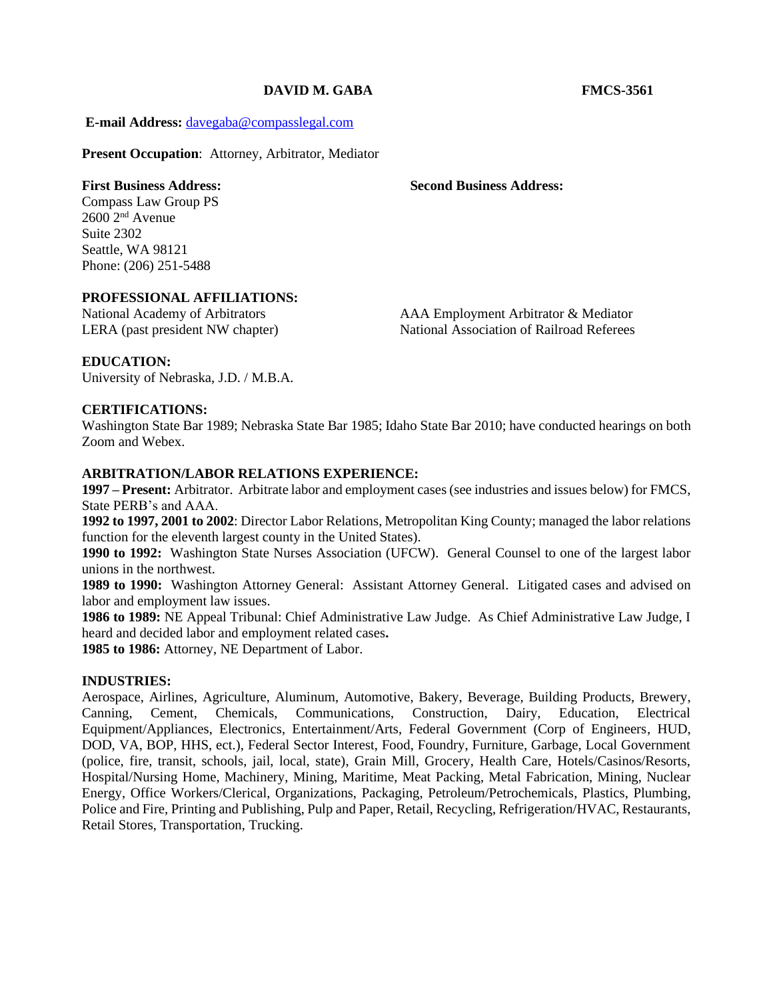# **DAVID M. GABA FMCS-3561**

**E-mail Address:** [davegaba@compasslegal.com](mailto:davegaba@compasslegal.com)

**Present Occupation**: Attorney, Arbitrator, Mediator

**First Business Address: Second Business Address:**

Compass Law Group PS  $2600$   $2<sup>nd</sup>$  Avenue Suite 2302 Seattle, WA 98121 Phone: (206) 251-5488

#### **PROFESSIONAL AFFILIATIONS:**

National Academy of Arbitrators AAA Employment Arbitrator & Mediator LERA (past president NW chapter) National Association of Railroad Referees

## **EDUCATION:**

University of Nebraska, J.D. / M.B.A.

# **CERTIFICATIONS:**

Washington State Bar 1989; Nebraska State Bar 1985; Idaho State Bar 2010; have conducted hearings on both Zoom and Webex.

### **ARBITRATION/LABOR RELATIONS EXPERIENCE:**

**1997 – Present:** Arbitrator. Arbitrate labor and employment cases (see industries and issues below) for FMCS, State PERB's and AAA.

**1992 to 1997, 2001 to 2002**: Director Labor Relations, Metropolitan King County; managed the labor relations function for the eleventh largest county in the United States).

**1990 to 1992:** Washington State Nurses Association (UFCW). General Counsel to one of the largest labor unions in the northwest.

**1989 to 1990:** Washington Attorney General: Assistant Attorney General. Litigated cases and advised on labor and employment law issues.

**1986 to 1989:** NE Appeal Tribunal: Chief Administrative Law Judge. As Chief Administrative Law Judge, I heard and decided labor and employment related cases**.** 

**1985 to 1986:** Attorney, NE Department of Labor.

### **INDUSTRIES:**

Aerospace, Airlines, Agriculture, Aluminum, Automotive, Bakery, Beverage, Building Products, Brewery, Canning, Cement, Chemicals, Communications, Construction, Dairy, Education, Electrical Equipment/Appliances, Electronics, Entertainment/Arts, Federal Government (Corp of Engineers, HUD, DOD, VA, BOP, HHS, ect.), Federal Sector Interest, Food, Foundry, Furniture, Garbage, Local Government (police, fire, transit, schools, jail, local, state), Grain Mill, Grocery, Health Care, Hotels/Casinos/Resorts, Hospital/Nursing Home, Machinery, Mining, Maritime, Meat Packing, Metal Fabrication, Mining, Nuclear Energy, Office Workers/Clerical, Organizations, Packaging, Petroleum/Petrochemicals, Plastics, Plumbing, Police and Fire, Printing and Publishing, Pulp and Paper, Retail, Recycling, Refrigeration/HVAC, Restaurants, Retail Stores, Transportation, Trucking.